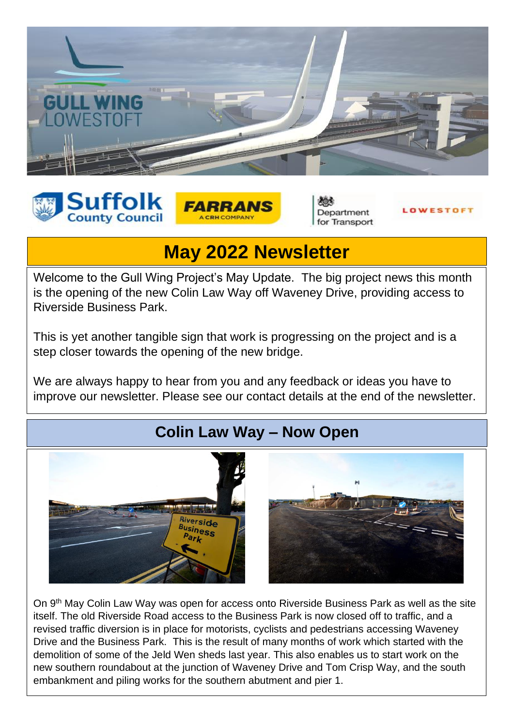





Department for Transport



# **May 2022 Newsletter**

Welcome to the Gull Wing Project's May Update. The big project news this month is the opening of the new Colin Law Way off Waveney Drive, providing access to Riverside Business Park.

This is yet another tangible sign that work is progressing on the project and is a step closer towards the opening of the new bridge.

We are always happy to hear from you and any feedback or ideas you have to improve our newsletter. Please see our contact details at the end of the newsletter.

## **Colin Law Way – Now Open**



On 9<sup>th</sup> May Colin Law Way was open for access onto Riverside Business Park as well as the site itself. The old Riverside Road access to the Business Park is now closed off to traffic, and a revised traffic diversion is in place for motorists, cyclists and pedestrians accessing Waveney Drive and the Business Park. This is the result of many months of work which started with the demolition of some of the Jeld Wen sheds last year. This also enables us to start work on the new southern roundabout at the junction of Waveney Drive and Tom Crisp Way, and the south embankment and piling works for the southern abutment and pier 1.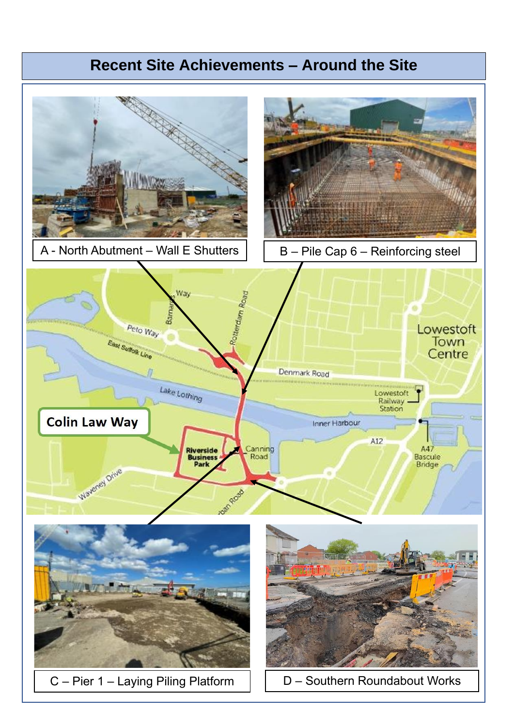# **Recent Site Achievements – Around the Site**

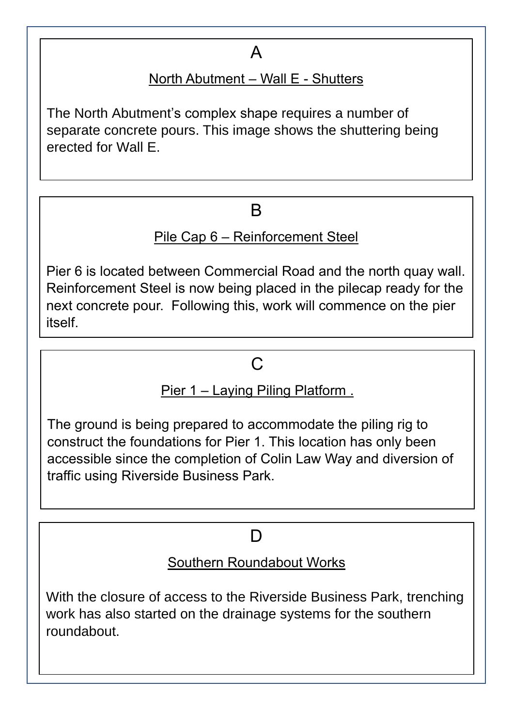# A

### North Abutment – Wall E - Shutters

The North Abutment's complex shape requires a number of separate concrete pours. This image shows the shuttering being erected for Wall E.

## B

### Pile Cap 6 – Reinforcement Steel

Pier 6 is located between Commercial Road and the north quay wall. Reinforcement Steel is now being placed in the pilecap ready for the next concrete pour. Following this, work will commence on the pier itself.

### $\mathcal{C}$

### Pier 1 – Laying Piling Platform .

The ground is being prepared to accommodate the piling rig to construct the foundations for Pier 1. This location has only been accessible since the completion of Colin Law Way and diversion of traffic using Riverside Business Park.

### D

#### Southern Roundabout Works

With the closure of access to the Riverside Business Park, trenching work has also started on the drainage systems for the southern roundabout.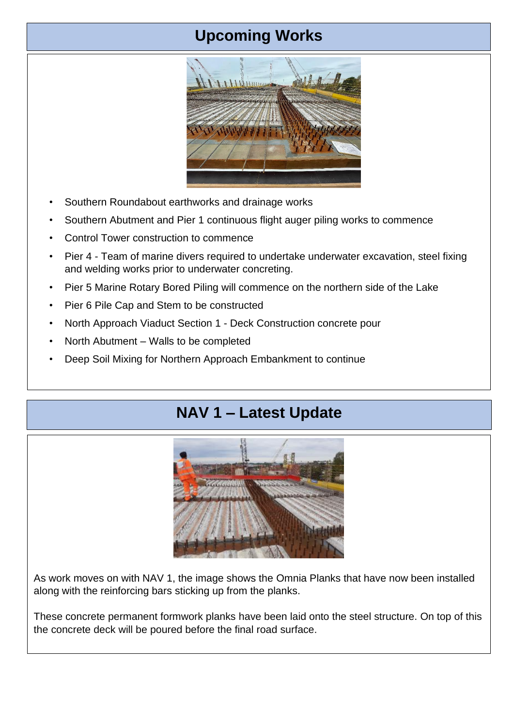## **Upcoming Works**



- Southern Roundabout earthworks and drainage works
- Southern Abutment and Pier 1 continuous flight auger piling works to commence
- Control Tower construction to commence
- Pier 4 Team of marine divers required to undertake underwater excavation, steel fixing and welding works prior to underwater concreting.
- Pier 5 Marine Rotary Bored Piling will commence on the northern side of the Lake
- Pier 6 Pile Cap and Stem to be constructed
- North Approach Viaduct Section 1 Deck Construction concrete pour
- North Abutment Walls to be completed
- Deep Soil Mixing for Northern Approach Embankment to continue

## **NAV 1 – Latest Update**



As work moves on with NAV 1, the image shows the Omnia Planks that have now been installed along with the reinforcing bars sticking up from the planks.

These concrete permanent formwork planks have been laid onto the steel structure. On top of this the concrete deck will be poured before the final road surface.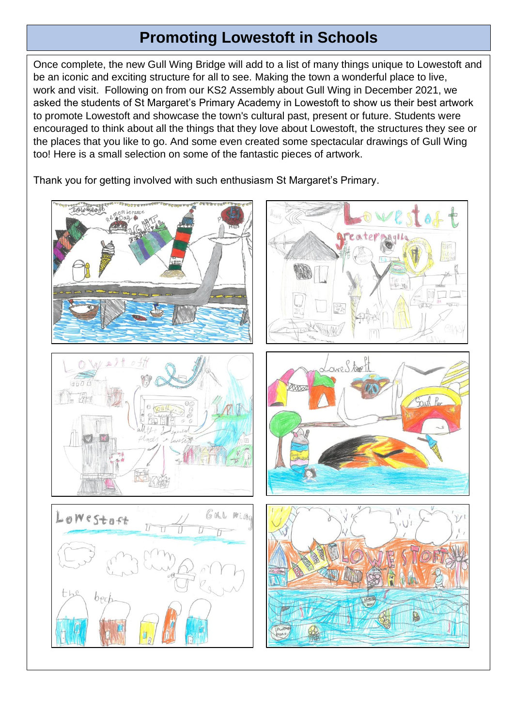## **Promoting Lowestoft in Schools**

Once complete, the new Gull Wing Bridge will add to a list of many things unique to Lowestoft and be an iconic and exciting structure for all to see. Making the town a wonderful place to live, work and visit. Following on from our KS2 Assembly about Gull Wing in December 2021, we asked the students of St Margaret's Primary Academy in Lowestoft to show us their best artwork to promote Lowestoft and showcase the town's cultural past, present or future. Students were encouraged to think about all the things that they love about Lowestoft, the structures they see or the places that you like to go. And some even created some spectacular drawings of Gull Wing too! Here is a small selection on some of the fantastic pieces of artwork.

Thank you for getting involved with such enthusiasm St Margaret's Primary.

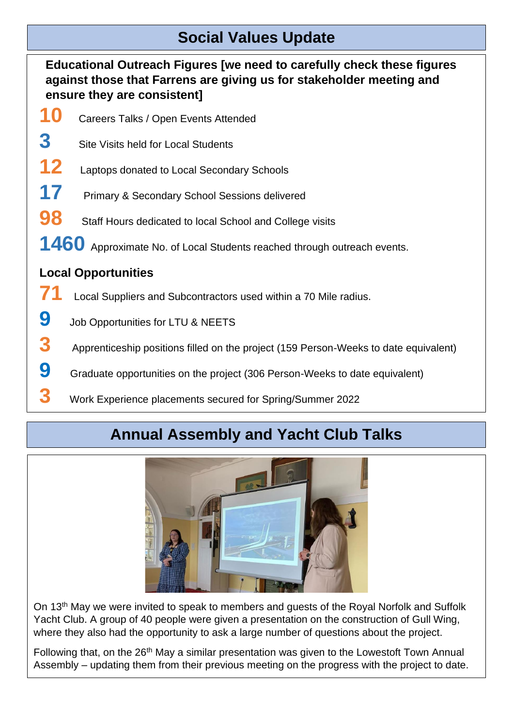## **Social Values Update**

**Educational Outreach Figures [we need to carefully check these figures against those that Farrens are giving us for stakeholder meeting and ensure they are consistent]**

- **10** Careers Talks / Open Events Attended
- **3** Site Visits held for Local Students
- **12** Laptops donated to Local Secondary Schools
- **17** Primary & Secondary School Sessions delivered
- **98** Staff Hours dedicated to local School and College visits
- 1460 Approximate No. of Local Students reached through outreach events.

#### **Local Opportunities**

- **71** Local Suppliers and Subcontractors used within a 70 Mile radius.
- **9** Job Opportunities for LTU & NEETS
- **3** Apprenticeship positions filled on the project (159 Person-Weeks to date equivalent)
- **9** Graduate opportunities on the project (306 Person-Weeks to date equivalent)
- **3** Work Experience placements secured for Spring/Summer 2022

## **Annual Assembly and Yacht Club Talks**



On 13<sup>th</sup> May we were invited to speak to members and guests of the Royal Norfolk and Suffolk Yacht Club. A group of 40 people were given a presentation on the construction of Gull Wing, where they also had the opportunity to ask a large number of questions about the project.

Following that, on the 26<sup>th</sup> May a similar presentation was given to the Lowestoft Town Annual Assembly – updating them from their previous meeting on the progress with the project to date.